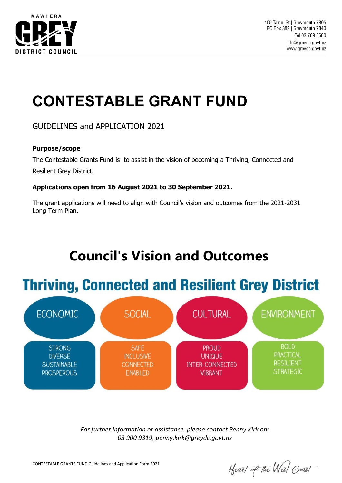

# **CONTESTABLE GRANT FUND**

GUIDELINES and APPLICATION 2021

### **Purpose/scope**

The Contestable Grants Fund is to assist in the vision of becoming a Thriving, Connected and Resilient Grey District.

### **Applications open from 16 August 2021 to 30 September 2021.**

The grant applications will need to align with Council's vision and outcomes from the 2021-2031 Long Term Plan.

## **Council's Vision and Outcomes**





*For further information or assistance, please contact Penny Kirk on: 03 900 9319, penny.kirk@greydc.govt.nz*

Heart of the West Coast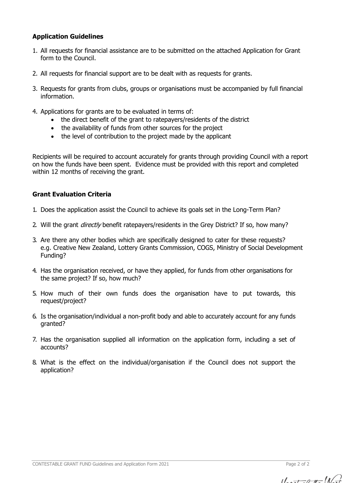### **Application Guidelines**

- 1. All requests for financial assistance are to be submitted on the attached Application for Grant form to the Council.
- 2. All requests for financial support are to be dealt with as requests for grants.
- 3. Requests for grants from clubs, groups or organisations must be accompanied by full financial information.
- 4. Applications for grants are to be evaluated in terms of:
	- the direct benefit of the grant to ratepayers/residents of the district
	- the availability of funds from other sources for the project
	- the level of contribution to the project made by the applicant

Recipients will be required to account accurately for grants through providing Council with a report on how the funds have been spent. Evidence must be provided with this report and completed within 12 months of receiving the grant.

### **Grant Evaluation Criteria**

- 1. Does the application assist the Council to achieve its goals set in the Long-Term Plan?
- 2. Will the grant *directly* benefit ratepayers/residents in the Grey District? If so, how many?
- 3. Are there any other bodies which are specifically designed to cater for these requests? e.g. Creative New Zealand, Lottery Grants Commission, COGS, Ministry of Social Development Funding?
- 4. Has the organisation received, or have they applied, for funds from other organisations for the same project? If so, how much?
- 5. How much of their own funds does the organisation have to put towards, this request/project?
- 6. Is the organisation/individual a non-profit body and able to accurately account for any funds granted?
- 7. Has the organisation supplied all information on the application form, including a set of accounts?
- 8. What is the effect on the individual/organisation if the Council does not support the application?

CONTESTABLE GRANT FUND Guidelines and Application Form 2021 Page 2 of 2

 $11.7 - 0 + 11$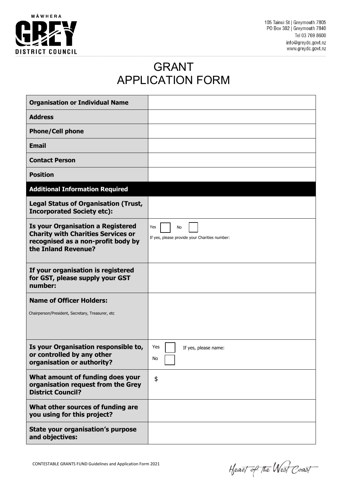

105 Tainui St | Greymouth 7805 PO Box 382 | Greymouth 7840 Tel 03 769 8600 info@greydc.govt.nz www.greydc.govt.nz

### GRANT APPLICATION FORM

| <b>Organisation or Individual Name</b>                                                                                                             |                                                            |
|----------------------------------------------------------------------------------------------------------------------------------------------------|------------------------------------------------------------|
| <b>Address</b>                                                                                                                                     |                                                            |
| <b>Phone/Cell phone</b>                                                                                                                            |                                                            |
| <b>Email</b>                                                                                                                                       |                                                            |
| <b>Contact Person</b>                                                                                                                              |                                                            |
| <b>Position</b>                                                                                                                                    |                                                            |
| <b>Additional Information Required</b>                                                                                                             |                                                            |
| <b>Legal Status of Organisation (Trust,</b><br><b>Incorporated Society etc):</b>                                                                   |                                                            |
| <b>Is your Organisation a Registered</b><br><b>Charity with Charities Services or</b><br>recognised as a non-profit body by<br>the Inland Revenue? | Yes<br>No<br>If yes, please provide your Charities number: |
| If your organisation is registered<br>for GST, please supply your GST<br>number:                                                                   |                                                            |
| <b>Name of Officer Holders:</b><br>Chairperson/President, Secretary, Treasurer, etc                                                                |                                                            |
| Is your Organisation responsible to,<br>or controlled by any other<br>organisation or authority?                                                   | Yes<br>If yes, please name:<br>No                          |
| What amount of funding does your<br>organisation request from the Grey<br><b>District Council?</b>                                                 | \$                                                         |
| What other sources of funding are<br>you using for this project?                                                                                   |                                                            |
| State your organisation's purpose<br>and objectives:                                                                                               |                                                            |

Heart of the West Coast